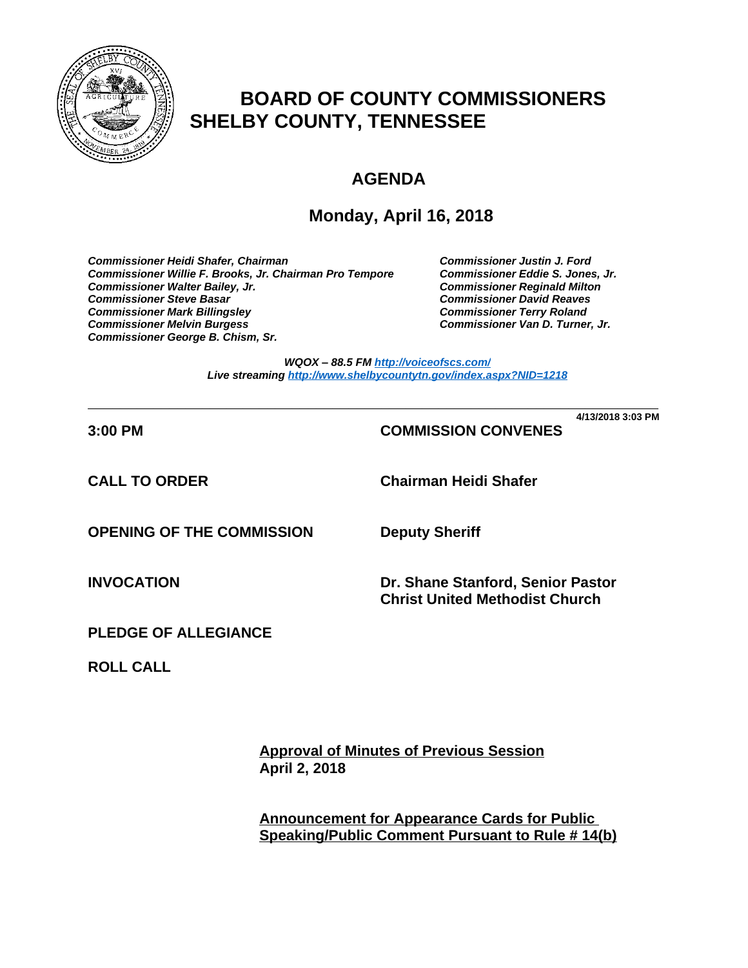

# **BOARD OF COUNTY COMMISSIONERS SHELBY COUNTY, TENNESSEE**

# **AGENDA**

## **Monday, April 16, 2018**

*Commissioner Heidi Shafer, Chairman Commissioner Justin J. Ford* Commissioner Willie F. Brooks, Jr. Chairman Pro Tempore *Commissioner Walter Bailey, Jr. Commissioner Reginald Milton Commissioner Steve Basar Commissioner David Reaves Commissioner Mark Billingsley Commissioner Terry Roland* **Commissioner Melvin Burgess** *Commissioner George B. Chism, Sr.*

*WQOX – 88.5 FM <http://voiceofscs.com/> Live streaming <http://www.shelbycountytn.gov/index.aspx?NID=1218>*

**\_\_\_\_\_\_\_\_\_\_\_\_\_\_\_\_\_\_\_\_\_\_\_\_\_\_\_\_\_\_\_\_\_\_\_\_\_\_\_\_\_\_\_\_\_\_\_\_\_\_\_\_\_\_\_\_\_\_\_\_\_\_\_\_\_\_\_\_\_\_ 4/13/2018 3:03 PM**

## **3:00 PM COMMISSION CONVENES**

**CALL TO ORDER Chairman Heidi Shafer**

**OPENING OF THE COMMISSION Deputy Sheriff**

**INVOCATION Dr. Shane Stanford, Senior Pastor Christ United Methodist Church**

**PLEDGE OF ALLEGIANCE**

**ROLL CALL**

**Approval of Minutes of Previous Session April 2, 2018**

**Announcement for Appearance Cards for Public Speaking/Public Comment Pursuant to Rule # 14(b)**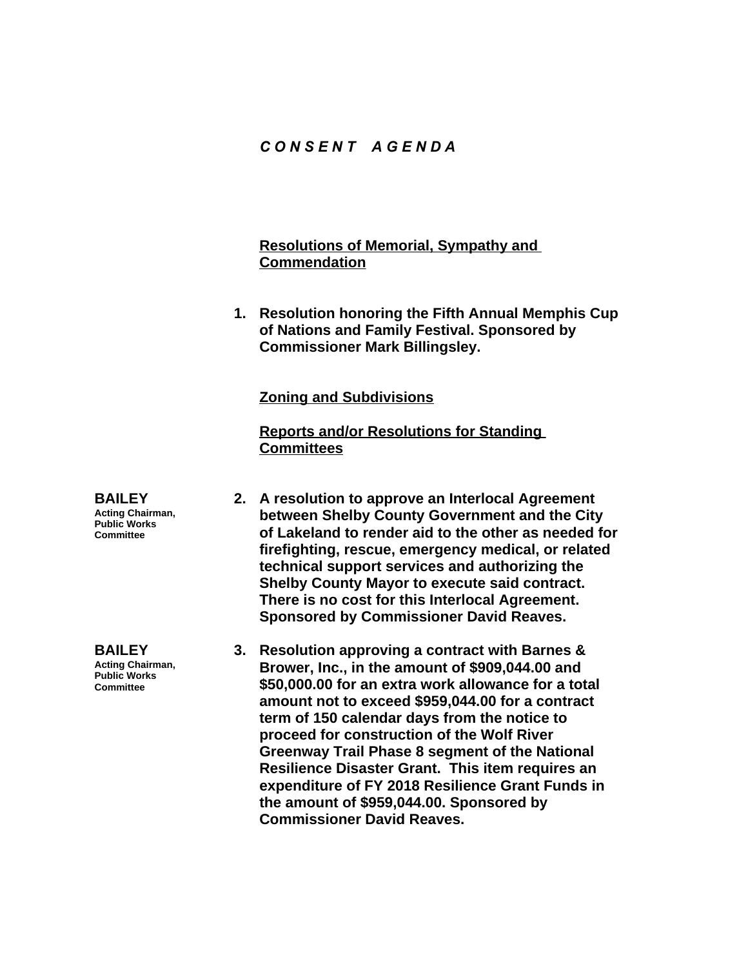## *C O N S E N T A G E N D A*

## **Resolutions of Memorial, Sympathy and Commendation**

**1. Resolution honoring the Fifth Annual Memphis Cup of Nations and Family Festival. Sponsored by Commissioner Mark Billingsley.**

#### **Zoning and Subdivisions**

**Reports and/or Resolutions for Standing Committees**

- **2. A resolution to approve an Interlocal Agreement between Shelby County Government and the City of Lakeland to render aid to the other as needed for firefighting, rescue, emergency medical, or related technical support services and authorizing the Shelby County Mayor to execute said contract. There is no cost for this Interlocal Agreement. Sponsored by Commissioner David Reaves.**
- **3. Resolution approving a contract with Barnes & Brower, Inc., in the amount of \$909,044.00 and \$50,000.00 for an extra work allowance for a total amount not to exceed \$959,044.00 for a contract term of 150 calendar days from the notice to proceed for construction of the Wolf River Greenway Trail Phase 8 segment of the National Resilience Disaster Grant. This item requires an expenditure of FY 2018 Resilience Grant Funds in the amount of \$959,044.00. Sponsored by Commissioner David Reaves.**

**BAILEY Acting Chairman, Public Works Committee**

**BAILEY Acting Chairman, Public Works Committee**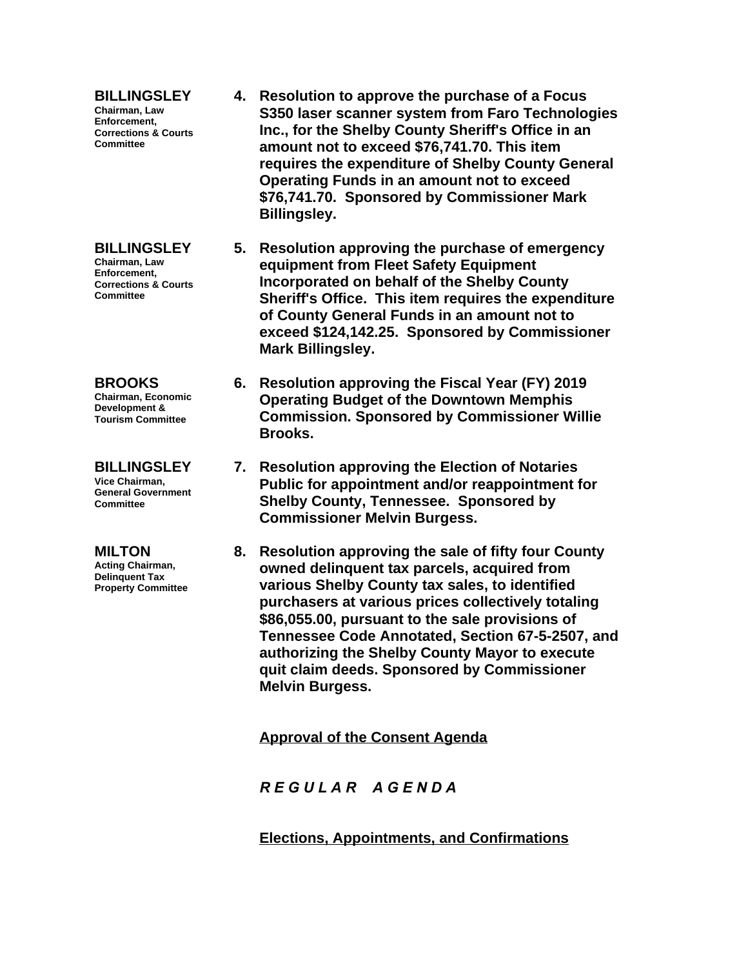**BILLINGSLEY Chairman, Law Enforcement, Corrections & Courts Committee**

**BILLINGSLEY Chairman, Law Enforcement, Corrections & Courts Committee**

**BROOKS Chairman, Economic Development & Tourism Committee**

**BILLINGSLEY Vice Chairman, General Government Committee**

**MILTON Acting Chairman, Delinquent Tax Property Committee**

- **4. Resolution to approve the purchase of a Focus S350 laser scanner system from Faro Technologies Inc., for the Shelby County Sheriff's Office in an amount not to exceed \$76,741.70. This item requires the expenditure of Shelby County General Operating Funds in an amount not to exceed \$76,741.70. Sponsored by Commissioner Mark Billingsley.**
- **5. Resolution approving the purchase of emergency equipment from Fleet Safety Equipment Incorporated on behalf of the Shelby County Sheriff's Office. This item requires the expenditure of County General Funds in an amount not to exceed \$124,142.25. Sponsored by Commissioner Mark Billingsley.**
- **6. Resolution approving the Fiscal Year (FY) 2019 Operating Budget of the Downtown Memphis Commission. Sponsored by Commissioner Willie Brooks.**
- **7. Resolution approving the Election of Notaries Public for appointment and/or reappointment for Shelby County, Tennessee. Sponsored by Commissioner Melvin Burgess.**
- **8. Resolution approving the sale of fifty four County owned delinquent tax parcels, acquired from various Shelby County tax sales, to identified purchasers at various prices collectively totaling \$86,055.00, pursuant to the sale provisions of Tennessee Code Annotated, Section 67-5-2507, and authorizing the Shelby County Mayor to execute quit claim deeds. Sponsored by Commissioner Melvin Burgess.**

**Approval of the Consent Agenda**

*R E G U L A R A G E N D A*

**Elections, Appointments, and Confirmations**